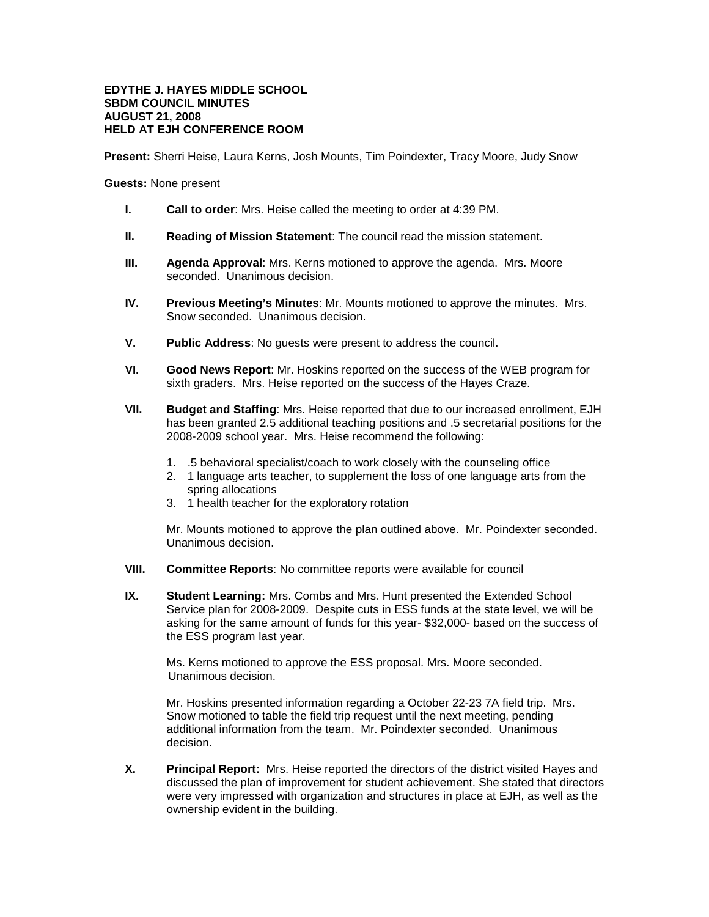## **EDYTHE J. HAYES MIDDLE SCHOOL SBDM COUNCIL MINUTES AUGUST 21, 2008 HELD AT EJH CONFERENCE ROOM**

**Present:** Sherri Heise, Laura Kerns, Josh Mounts, Tim Poindexter, Tracy Moore, Judy Snow

**Guests:** None present

- **I. Call to order**: Mrs. Heise called the meeting to order at 4:39 PM.
- **II. Reading of Mission Statement**: The council read the mission statement.
- **III. Agenda Approval**: Mrs. Kerns motioned to approve the agenda. Mrs. Moore seconded. Unanimous decision.
- **IV. Previous Meeting's Minutes**: Mr. Mounts motioned to approve the minutes. Mrs. Snow seconded. Unanimous decision.
- **V. Public Address**: No guests were present to address the council.
- **VI. Good News Report**: Mr. Hoskins reported on the success of the WEB program for sixth graders. Mrs. Heise reported on the success of the Hayes Craze.
- **VII. Budget and Staffing**: Mrs. Heise reported that due to our increased enrollment, EJH has been granted 2.5 additional teaching positions and .5 secretarial positions for the 2008-2009 school year. Mrs. Heise recommend the following:
	- 1. .5 behavioral specialist/coach to work closely with the counseling office
	- 2. 1 language arts teacher, to supplement the loss of one language arts from the spring allocations
	- 3. 1 health teacher for the exploratory rotation

Mr. Mounts motioned to approve the plan outlined above. Mr. Poindexter seconded. Unanimous decision.

- **VIII. Committee Reports**: No committee reports were available for council
- **IX. Student Learning:** Mrs. Combs and Mrs. Hunt presented the Extended School Service plan for 2008-2009. Despite cuts in ESS funds at the state level, we will be asking for the same amount of funds for this year- \$32,000- based on the success of the ESS program last year.

Ms. Kerns motioned to approve the ESS proposal. Mrs. Moore seconded. Unanimous decision.

Mr. Hoskins presented information regarding a October 22-23 7A field trip. Mrs. Snow motioned to table the field trip request until the next meeting, pending additional information from the team. Mr. Poindexter seconded. Unanimous decision.

**X. Principal Report:** Mrs. Heise reported the directors of the district visited Hayes and discussed the plan of improvement for student achievement. She stated that directors were very impressed with organization and structures in place at EJH, as well as the ownership evident in the building.